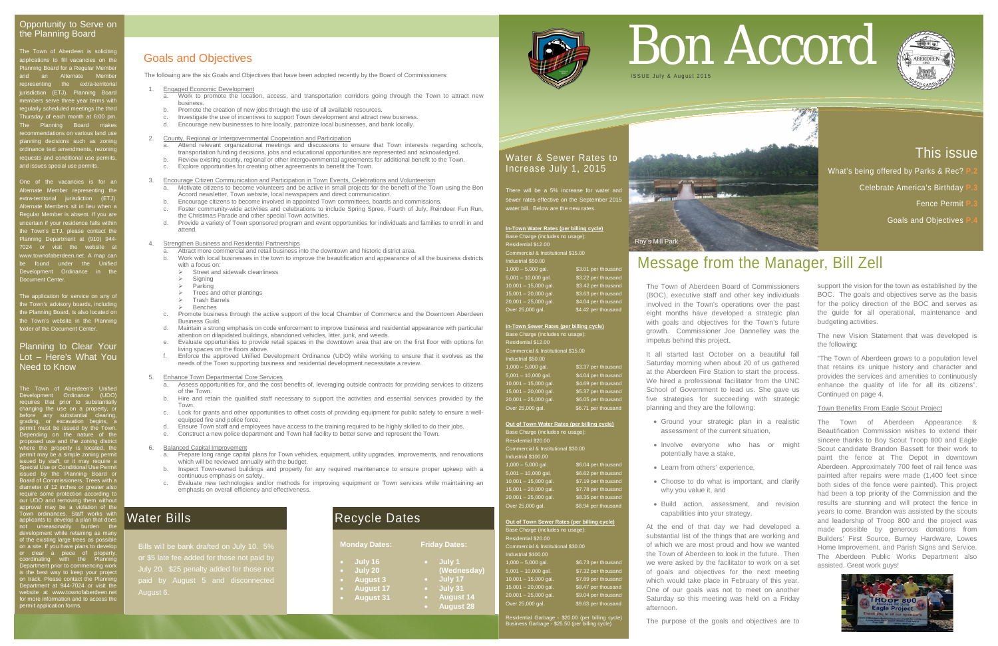# Goals and Objectives

The following are the six Goals and Objectives that have been adopted recently by the Board of Commissioners:

#### 2. County, Regional or Intergovernmental Cooperation and Participation Attend relevant organizational meetings and discussions to ensure that Town interests regarding schools,

- 1. Engaged Economic Development
	- a. Work to promote the location, access, and transportation corridors going through the Town to attract new business.
	- b. Promote the creation of new jobs through the use of all available resources.
	- c. Investigate the use of incentives to support Town development and attract new business.
	- d. Encourage new businesses to hire locally, patronize local businesses, and bank locally.

- transportation funding decisions, jobs and educational opportunities are represented and acknowledged. b. Review existing county, regional or other intergovernmental agreements for additional benefit to the Town.
- c. Explore opportunities for creating other agreements to benefit the Town.
- 3. Encourage Citizen Communication and Participation in Town Events, Celebrations and Volunteerism
	- Motivate citizens to become volunteers and be active in small projects for the benefit of the Town using the Bon Accord newsletter, Town website, local newspapers and direct communication.
	- b. Encourage citizens to become involved in appointed Town committees, boards and commissions.
	- c. Foster community-wide activities and celebrations to include Spring Spree, Fourth of July, Reindeer Fun Run, the Christmas Parade and other special Town activities.
	- d. Provide a variety of Town sponsored program and event opportunities for individuals and families to enroll in and attend.

- Assess opportunities for, and the cost benefits of, leveraging outside contracts for providing services to citizens of the Town.
- b. Hire and retain the qualified staff necessary to support the activities and essential services provided by the Town.
- c. Look for grants and other opportunities to offset costs of providing equipment for public safety to ensure a wellequipped fire and police force.
- d. Ensure Town staff and employees have access to the training required to be highly skilled to do their jobs.
- e. Construct a new police department and Town hall facility to better serve and represent the Town.

#### 4. Strengthen Business and Residential Partnerships

- a. Attract more commercial and retail business into the downtown and historic district area.
- Work with local businesses in the town to improve the beautification and appearance of all the business districts with a focus on:<br> $\triangleright$  Street and
	- Street and sidewalk cleanliness
	- $\triangleright$  Signing
	- Parking
	- Trees and other plantings Trash Barrels
	-
	- Benches
- c. Promote business through the active support of the local Chamber of Commerce and the Downtown Aberdeen Business Guild.
- d. Maintain a strong emphasis on code enforcement to improve business and residential appearance with particular attention on dilapidated buildings, abandoned vehicles, litter, junk, and weeds.
- e. Evaluate opportunities to provide retail spaces in the downtown area that are on the first floor with options for living spaces on the floors above.
- f. Enforce the approved Unified Development Ordinance (UDO) while working to ensure that it evolves as the needs of the Town supporting business and residential development necessitate a review.

The application for service on any of the Town's advisory boards, including the Planning Board, is also located on the Town's website in the Planning older of the Document Center

5. Enhance Town Departmental Core Services

There will be a 5% increase for water an sewer rates effective on the September 2015 water bill. Below are the new rates.

**In-Town Water Rates (per billing cycle)** Base Charge (includes no usage): Residential \$12.00 Commercial & Institutional \$15.00 .<br>Industrial \$50.00  $1,000 - 5,000$  gal. \$3.01 per thousa  $5,001 - 10,000$  gal. \$3.22 per thousand 10,001 - 15,000 gal. \$3.42 per thousand  $15,001 - 20,000$  gal. \$3.63 per thousand 20,001 – 25,000 gal. \$4.04 per thousand

#### 6. Balanced Capital Improvement

- a. Prepare long range capital plans for Town vehicles, equipment, utility upgrades, improvements, and renovations which will be reviewed annually with the budget.
- b. Inspect Town-owned buildings and property for any required maintenance to ensure proper upkeep with a continuous emphasis on safety.
- c. Evaluate new technologies and/or methods for improving equipment or Town services while maintaining an emphasis on overall efficiency and effectiveness.

15,001 – 20,000 gal. \$5.37 per thousand 20,001 – 25,000 gal. \$6.05 per thousand Over 25,000 gal. \$6.71 per thousand

**Out of Town Water Rates (per billing cycle)** Base Charge (includes no usage): Residential \$20.00 mmercial & Institutional \$30.00 ustrial \$100.00 1,000 – 5,000 gal. \$6.04 per thousand 5,001 – 10,000 gal. \$6.62 per thousand 10,001 – 15,000 gal. \$7.19 per thousand  $15,001 - 20,000$  gal. \$7.78 per thousand 20,001 – 25,000 gal. \$8.35 per thousand Over 25,000 gal. \$8.94 per thousand

# Opportunity to October

The Town of Aberdeen is soliciting applications to fill vacancies on the Planning Board for a Regular Member an Alternate Member epresenting the extra-territori risdiction (ETJ). Planning Board mbers serve three year terms with gularly scheduled meetings the thire Thursday of each month at 6:00 pm. The Planning Board makes recommendations on various land use planning decisions such as zoning ordinance text amendments, rezoning quests and conditional use permits and issues special use permits.

One of the vacancies is for an Alternate Member representing the extra-territorial jurisdiction (ETJ). Alternate Members sit in lieu when a Regular Member is absent. If you are uncertain if your residence falls within the Town's ETJ, please contact the Planning Department at (910) 944- 7024 or visit the website at www.townofaberdeen.net. A map can be found under the Unified Development Ordinance in the Document Center.

## Planning to Clear Your Lot – Here's What You Need to Know

The Town of Aberdeen's Unified Development Ordinance (UDO) requires that prior to substantially changing the use on a property, or before any substantial clearing, grading, or excavation begins, a permit must be issued by the Town. Depending on the nature of the proposed use and the zoning district where the property is located, the permit may be a simple zoning permit issued by staff, or it may require a Special Use or Conditional Use Permit ied by the Planning Board <mark>c</mark><br>ird.of.Commissioners.Trees.with Board of Commissioners. Trees with a diameter of 12 inches or greater also require some protection according to our UDO and removing them without approval may be a violation of the Town ordinances. Staff works with applicants to develop a plan that does not unreasonably burden the development while retaining as many of the existing large trees as possible on a site. If you have plans to develop or clear a piece of property, coordinating with the Planning Department prior to commencing work is the best way to keep your project on track. Please contact the Planning Department at 944-7024 or visit the website at www.townofaberdeen.net for more information and to access the

permit application forms.

# Water & Sewer Rates to Increase July 1, 2015

Over 25,000 gal. \$4.42 per thousand

#### **In-Town Sewer Rates (per billing cycle)** .<br>Base Charge (includes no usag Residential \$12.00 Commercial & Institutional \$15.00 Industrial \$50.00 1,000 – 5,000 gal. \$3.37 per thousan<br>
5,001 – 10,000 gal. \$4.04 per thousan<br>
10,001 – 15,000 gal. \$4.69 per thousan 5,001 – 10,000 gal. \$4.04 per thousand 10,001 – 15,000 gal. \$4.69 per thousand

#### **Out of Town Sewer Rates (per billing cycle)**

| Base Charge (includes no usage):   |                     |  |  |  |
|------------------------------------|---------------------|--|--|--|
| Residential \$20.00                |                     |  |  |  |
| Commercial & Institutional \$30.00 |                     |  |  |  |
| Industrial \$100.00                |                     |  |  |  |
| $1,000 - 5,000$ gal.               | \$6.73 per thousand |  |  |  |
| $5,001 - 10,000$ gal.              | \$7.32 per thousand |  |  |  |
| $10,001 - 15,000$ gal.             | \$7.89 per thousand |  |  |  |
| $15,001 - 20,000$ gal.             | \$8.47 per thousand |  |  |  |
| $20,001 - 25,000$ gal.             | \$9.04 per thousand |  |  |  |
| Over 25,000 gal.                   | \$9.63 per thousand |  |  |  |
|                                    |                     |  |  |  |

Residential Garbage - \$20.00 (per billing cycle) Business Garbage - \$25.50 (per billing cycle)

# Message from the Manager, Bill Zell

# This issue

What's being offered by Parks & Rec?

**Celebrate America's Birthday** 

**Fence Permit <b>P** 

**Goals and Objectives <b>P** 



# Recycle Dates

|           | <b>Monday Dates:</b>                 | <b>Friday Dates:</b>        |
|-----------|--------------------------------------|-----------------------------|
| $\bullet$ | July 16<br>July 20                   | July 1<br>(Wednesday)       |
| $\bullet$ | <b>August 3</b>                      | July 17                     |
| O         | <b>August 17</b><br><b>August 31</b> | July 31<br><b>August 14</b> |
|           |                                      | <b>August 28</b>            |





The Town of Aberdeen Board of Commissioners (BOC), executive staff and other key individuals involved in the Town's operations over the past eight months have developed a strategic plan with goals and objectives for the Town's future growth. Commissioner Joe Dannelley was the impetus behind this project.

It all started last October on a beautiful fall Saturday morning when about 20 of us gathered at the Aberdeen Fire Station to start the process. We hired a professional facilitator from the UNC School of Government to lead us. She gave us five strategies for succeeding with strategic planning and they are the following:

• Ground your strategic plan in a realistic

• Involve everyone who has or might

- assessment of the current situation,
- potentially have a stake,
- Learn from others' experience,
- why you value it, and
- capabilities into your strategy.

• Choose to do what is important, and clarify

• Build action, assessment, and revision

At the end of that day we had developed a substantial list of the things that are working and of which we are most proud and how we wanted the Town of Aberdeen to look in the future. Then we were asked by the facilitator to work on a set of goals and objectives for the next meeting which would take place in February of this year. One of our goals was not to meet on another Saturday so this meeting was held on a Friday afternoon.

The purpose of the goals and objectives are to

# Opportunity to Serve on<br>The Planning Board<br>applications to fill vacancies on the **Coals and Objectives**



support the vision for the town as established by the BOC. The goals and objectives serve as the basis for the policy direction of the BOC and serves as the guide for all operational, maintenance and budgeting activities.

The new Vision Statement that was developed is the following:

"The Town of Aberdeen grows to a population level that retains its unique history and character and provides the services and amenities to continuously enhance the quality of life for all its citizens". Continued on page 4.

## Town Benefits From Eagle Scout Project

The Town of Aberdeen Appearance & Beautification Commission wishes to extend their sincere thanks to Boy Scout Troop 800 and Eagle Scout candidate Brandon Bassett for their work to paint the fence at The Depot in downtown Aberdeen. Approximately 700 feet of rail fence was painted after repairs were made (1,400 feet since both sides of the fence were painted). This project had been a top priority of the Commission and the results are stunning and will protect the fence in years to come. Brandon was assisted by the scouts and leadership of Troop 800 and the project was made possible by generous donations from Builders' First Source, Burney Hardware, Lowes Home Improvement, and Parish Signs and Service. The Aberdeen Public Works Department also assisted. Great work guys!



# Water Bills

or \$5 late fee added for those not paid by August 6.